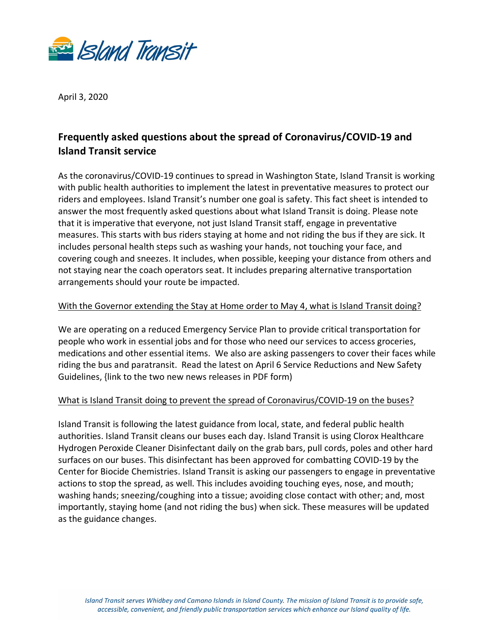

April 3, 2020

# **Frequently asked questions about the spread of Coronavirus/COVID-19 and Island Transit service**

As the coronavirus/COVID-19 continues to spread in Washington State, Island Transit is working with public health authorities to implement the latest in preventative measures to protect our riders and employees. Island Transit's number one goal is safety. This fact sheet is intended to answer the most frequently asked questions about what Island Transit is doing. Please note that it is imperative that everyone, not just Island Transit staff, engage in preventative measures. This starts with bus riders staying at home and not riding the bus if they are sick. It includes personal health steps such as washing your hands, not touching your face, and covering cough and sneezes. It includes, when possible, keeping your distance from others and not staying near the coach operators seat. It includes preparing alternative transportation arrangements should your route be impacted.

## With the Governor extending the Stay at Home order to May 4, what is Island Transit doing?

We are operating on a reduced Emergency Service Plan to provide critical transportation for people who work in essential jobs and for those who need our services to access groceries, medications and other essential items. We also are asking passengers to cover their faces while riding the bus and paratransit. Read the latest on April 6 Service Reductions and New Safety Guidelines, {link to the two new news releases in PDF form)

## What is Island Transit doing to prevent the spread of Coronavirus/COVID-19 on the buses?

Island Transit is following the latest guidance from local, state, and federal public health authorities. Island Transit cleans our buses each day. Island Transit is using Clorox Healthcare Hydrogen Peroxide Cleaner Disinfectant daily on the grab bars, pull cords, poles and other hard surfaces on our buses. This disinfectant has been approved for combatting COVID-19 by the Center for Biocide Chemistries. Island Transit is asking our passengers to engage in preventative actions to stop the spread, as well. This includes avoiding touching eyes, nose, and mouth; washing hands; sneezing/coughing into a tissue; avoiding close contact with other; and, most importantly, staying home (and not riding the bus) when sick. These measures will be updated as the guidance changes.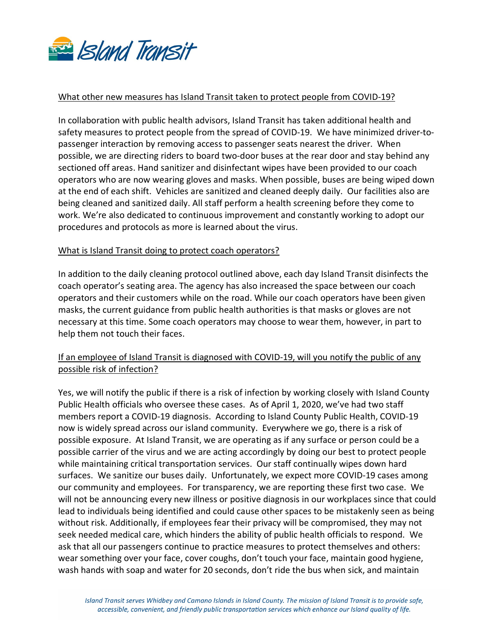

#### What other new measures has Island Transit taken to protect people from COVID-19?

In collaboration with public health advisors, Island Transit has taken additional health and safety measures to protect people from the spread of COVID-19. We have minimized driver-topassenger interaction by removing access to passenger seats nearest the driver. When possible, we are directing riders to board two-door buses at the rear door and stay behind any sectioned off areas. Hand sanitizer and disinfectant wipes have been provided to our coach operators who are now wearing gloves and masks. When possible, buses are being wiped down at the end of each shift. Vehicles are sanitized and cleaned deeply daily. Our facilities also are being cleaned and sanitized daily. All staff perform a health screening before they come to work. We're also dedicated to continuous improvement and constantly working to adopt our procedures and protocols as more is learned about the virus.

#### What is Island Transit doing to protect coach operators?

In addition to the daily cleaning protocol outlined above, each day Island Transit disinfects the coach operator's seating area. The agency has also increased the space between our coach operators and their customers while on the road. While our coach operators have been given masks, the current guidance from public health authorities is that masks or gloves are not necessary at this time. Some coach operators may choose to wear them, however, in part to help them not touch their faces.

## If an employee of Island Transit is diagnosed with COVID-19, will you notify the public of any possible risk of infection?

Yes, we will notify the public if there is a risk of infection by working closely with Island County Public Health officials who oversee these cases. As of April 1, 2020, we've had two staff members report a COVID-19 diagnosis. According to Island County Public Health, COVID-19 now is widely spread across our island community. Everywhere we go, there is a risk of possible exposure. At Island Transit, we are operating as if any surface or person could be a possible carrier of the virus and we are acting accordingly by doing our best to protect people while maintaining critical transportation services. Our staff continually wipes down hard surfaces. We sanitize our buses daily. Unfortunately, we expect more COVID-19 cases among our community and employees. For transparency, we are reporting these first two case. We will not be announcing every new illness or positive diagnosis in our workplaces since that could lead to individuals being identified and could cause other spaces to be mistakenly seen as being without risk. Additionally, if employees fear their privacy will be compromised, they may not seek needed medical care, which hinders the ability of public health officials to respond. We ask that all our passengers continue to practice measures to protect themselves and others: wear something over your face, cover coughs, don't touch your face, maintain good hygiene, wash hands with soap and water for 20 seconds, don't ride the bus when sick, and maintain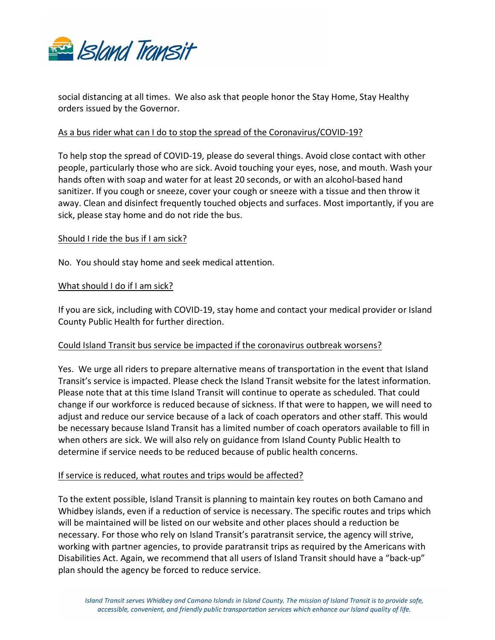

social distancing at all times. We also ask that people honor the Stay Home, Stay Healthy orders issued by the Governor.

## As a bus rider what can I do to stop the spread of the Coronavirus/COVID-19?

To help stop the spread of COVID-19, please do several things. Avoid close contact with other people, particularly those who are sick. Avoid touching your eyes, nose, and mouth. Wash your hands often with soap and water for at least 20 seconds, or with an alcohol-based hand sanitizer. If you cough or sneeze, cover your cough or sneeze with a tissue and then throw it away. Clean and disinfect frequently touched objects and surfaces. Most importantly, if you are sick, please stay home and do not ride the bus.

#### Should I ride the bus if I am sick?

No. You should stay home and seek medical attention.

#### What should I do if I am sick?

If you are sick, including with COVID-19, stay home and contact your medical provider or Island County Public Health for further direction.

#### Could Island Transit bus service be impacted if the coronavirus outbreak worsens?

Yes. We urge all riders to prepare alternative means of transportation in the event that Island Transit's service is impacted. Please check the Island Transit website for the latest information. Please note that at this time Island Transit will continue to operate as scheduled. That could change if our workforce is reduced because of sickness. If that were to happen, we will need to adjust and reduce our service because of a lack of coach operators and other staff. This would be necessary because Island Transit has a limited number of coach operators available to fill in when others are sick. We will also rely on guidance from Island County Public Health to determine if service needs to be reduced because of public health concerns.

## If service is reduced, what routes and trips would be affected?

To the extent possible, Island Transit is planning to maintain key routes on both Camano and Whidbey islands, even if a reduction of service is necessary. The specific routes and trips which will be maintained will be listed on our website and other places should a reduction be necessary. For those who rely on Island Transit's paratransit service, the agency will strive, working with partner agencies, to provide paratransit trips as required by the Americans with Disabilities Act. Again, we recommend that all users of Island Transit should have a "back-up" plan should the agency be forced to reduce service.